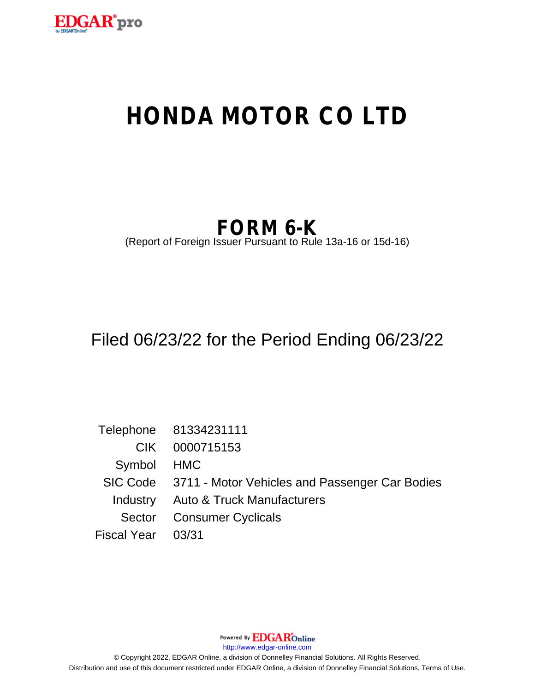

# **HONDA MOTOR CO LTD**

## **FORM 6-K**

(Report of Foreign Issuer Pursuant to Rule 13a-16 or 15d-16)

## Filed 06/23/22 for the Period Ending 06/23/22

Telephone 81334231111 CIK 0000715153 Symbol HMC SIC Code 3711 - Motor Vehicles and Passenger Car Bodies Industry Auto & Truck Manufacturers Sector Consumer Cyclicals Fiscal Year 03/31

Powered By **EDGAR**Online

http://www.edgar-online.com

© Copyright 2022, EDGAR Online, a division of Donnelley Financial Solutions. All Rights Reserved. Distribution and use of this document restricted under EDGAR Online, a division of Donnelley Financial Solutions, Terms of Use.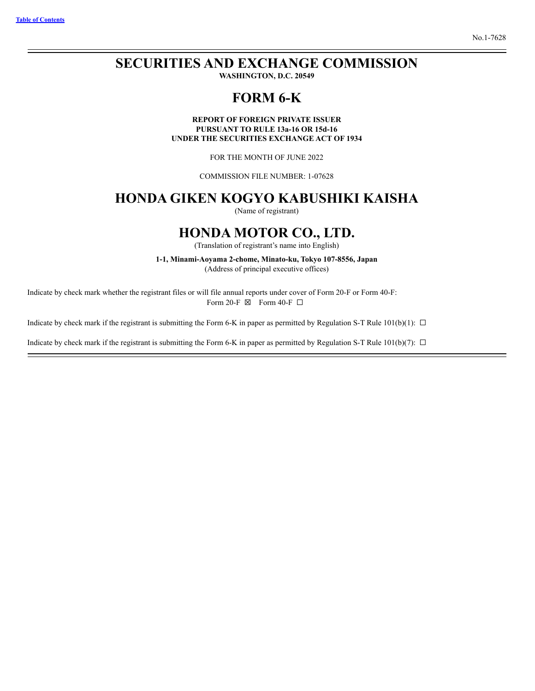#### **Table of Contents**

## **SECURITIES AND EXCHANGE COMMISSION**

WASHINGTON, D.C. 20549

### FORM 6-K

**REPORT OF FOREIGN PRIVATE ISSUER** PURSUANT TO RULE 13a-16 OR 15d-16 UNDER THE SECURITIES EXCHANGE ACT OF 1934

FOR THE MONTH OF JUNE 2022

**COMMISSION FILE NUMBER: 1-07628** 

### HONDA GIKEN KOGYO KABUSHIKI KAISHA

(Name of registrant)

### **HONDA MOTOR CO., LTD.**

(Translation of registrant's name into English)

1-1, Minami-Aoyama 2-chome, Minato-ku, Tokyo 107-8556, Japan

(Address of principal executive offices)

Indicate by check mark whether the registrant files or will file annual reports under cover of Form 20-F or Form 40-F: Form 20-F  $\boxtimes$  Form 40-F  $\Box$ 

Indicate by check mark if the registrant is submitting the Form 6-K in paper as permitted by Regulation S-T Rule 101(b)(1):  $\Box$ 

Indicate by check mark if the registrant is submitting the Form 6-K in paper as permitted by Regulation S-T Rule 101(b)(7):  $\Box$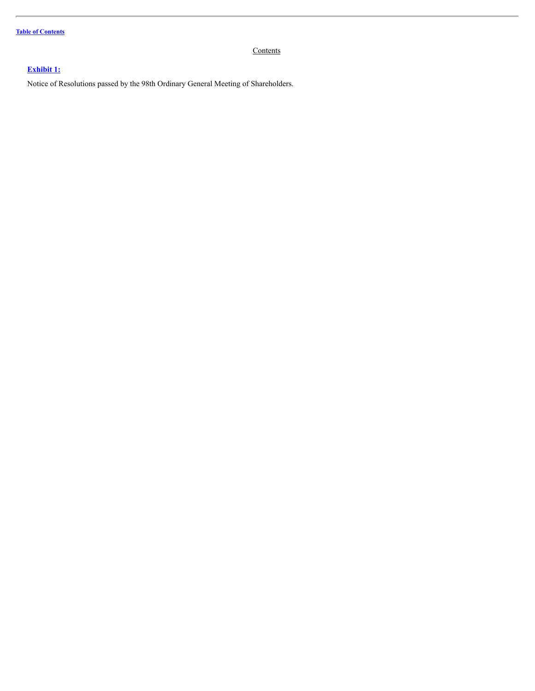**Table of [Contents](#page-2-0)**

#### <span id="page-2-0"></span>**Contents**

#### **[Exhibit](#page-4-0) 1:**

Notice of Resolutions passed by the 98th Ordinary General Meeting of Shareholders.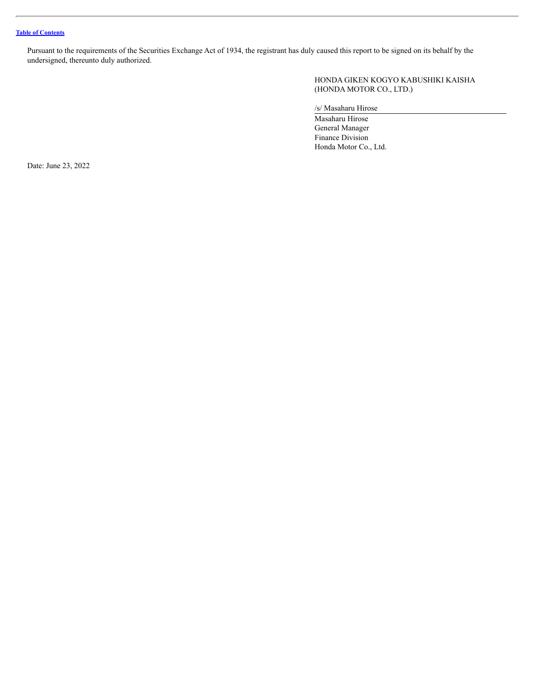Pursuant to the requirements of the Securities Exchange Act of 1934, the registrant has duly caused this report to be signed on its behalf by the undersigned, thereunto duly authorized.

> HONDA GIKEN KOGYO KABUSHIKI KAISHA (HONDA MOTOR CO., LTD.)

/s/ Masaharu Hirose

Masaharu Hirose General Manager Finance Division Honda Motor Co., Ltd.

Date: June 23, 2022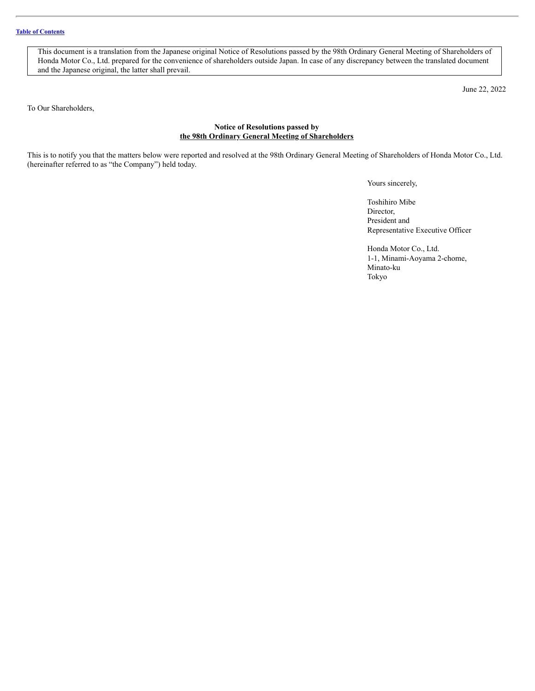<span id="page-4-0"></span>This document is a translation from the Japanese original Notice of Resolutions passed by the 98th Ordinary General Meeting of Shareholders of Honda Motor Co., Ltd. prepared for the convenience of shareholders outside Japan. In case of any discrepancy between the translated document and the Japanese original, the latter shall prevail.

June 22, 2022

To Our Shareholders,

#### **Notice of Resolutions passed by the 98th Ordinary General Meeting of Shareholders**

This is to notify you that the matters below were reported and resolved at the 98th Ordinary General Meeting of Shareholders of Honda Motor Co., Ltd. (hereinafter referred to as "the Company") held today.

Yours sincerely,

Toshihiro Mibe Director, President and Representative Executive Officer

Honda Motor Co., Ltd. 1-1, Minami-Aoyama 2-chome, Minato-ku Tokyo